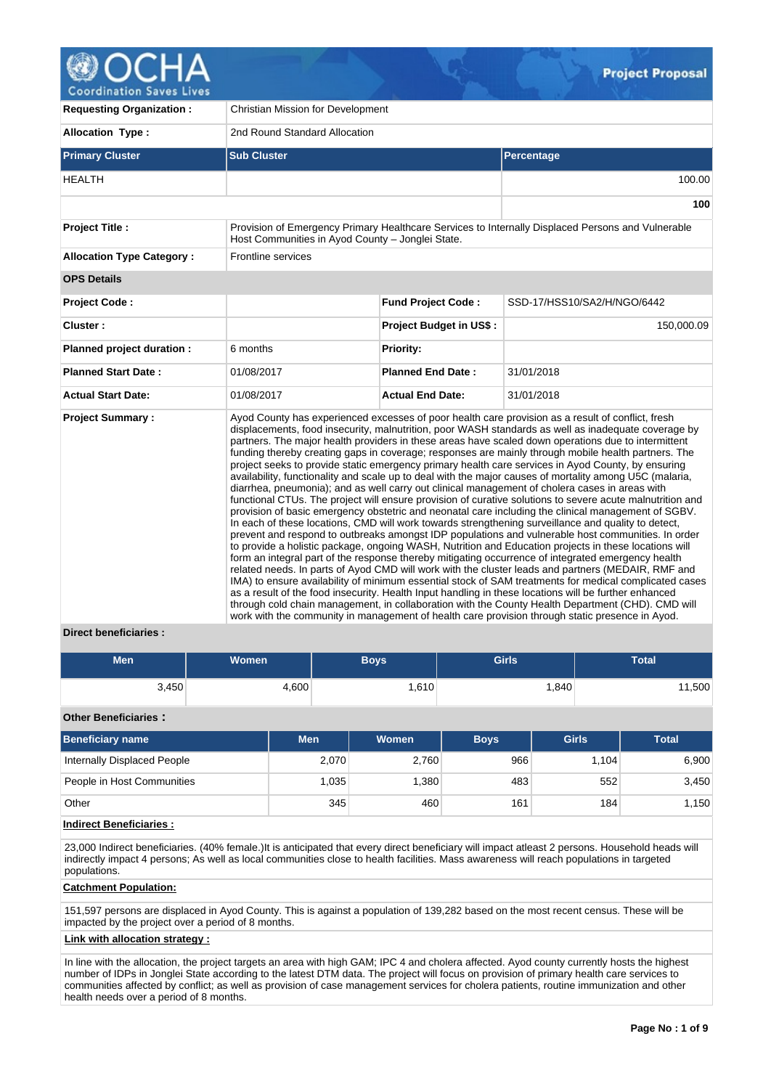

**Coordination Saves Lives** 

| <b>Requesting Organization:</b>  | Christian Mission for Development                |                                |                                                                                                                                                                                                                                                                                                                                                                                                                                                                                                                                                                                                                                                                                                                                                                                                                                                                                                                                                                                                                                                                                                                                                                                                                                                                                                                                                                                                                                                                                                                                                                                                                                                                                                                                                                                                                                                                                                                            |  |  |  |  |  |
|----------------------------------|--------------------------------------------------|--------------------------------|----------------------------------------------------------------------------------------------------------------------------------------------------------------------------------------------------------------------------------------------------------------------------------------------------------------------------------------------------------------------------------------------------------------------------------------------------------------------------------------------------------------------------------------------------------------------------------------------------------------------------------------------------------------------------------------------------------------------------------------------------------------------------------------------------------------------------------------------------------------------------------------------------------------------------------------------------------------------------------------------------------------------------------------------------------------------------------------------------------------------------------------------------------------------------------------------------------------------------------------------------------------------------------------------------------------------------------------------------------------------------------------------------------------------------------------------------------------------------------------------------------------------------------------------------------------------------------------------------------------------------------------------------------------------------------------------------------------------------------------------------------------------------------------------------------------------------------------------------------------------------------------------------------------------------|--|--|--|--|--|
| <b>Allocation Type:</b>          | 2nd Round Standard Allocation                    |                                |                                                                                                                                                                                                                                                                                                                                                                                                                                                                                                                                                                                                                                                                                                                                                                                                                                                                                                                                                                                                                                                                                                                                                                                                                                                                                                                                                                                                                                                                                                                                                                                                                                                                                                                                                                                                                                                                                                                            |  |  |  |  |  |
| <b>Primary Cluster</b>           | <b>Sub Cluster</b>                               |                                | Percentage                                                                                                                                                                                                                                                                                                                                                                                                                                                                                                                                                                                                                                                                                                                                                                                                                                                                                                                                                                                                                                                                                                                                                                                                                                                                                                                                                                                                                                                                                                                                                                                                                                                                                                                                                                                                                                                                                                                 |  |  |  |  |  |
| <b>HEALTH</b>                    |                                                  |                                | 100.00                                                                                                                                                                                                                                                                                                                                                                                                                                                                                                                                                                                                                                                                                                                                                                                                                                                                                                                                                                                                                                                                                                                                                                                                                                                                                                                                                                                                                                                                                                                                                                                                                                                                                                                                                                                                                                                                                                                     |  |  |  |  |  |
|                                  |                                                  |                                | 100                                                                                                                                                                                                                                                                                                                                                                                                                                                                                                                                                                                                                                                                                                                                                                                                                                                                                                                                                                                                                                                                                                                                                                                                                                                                                                                                                                                                                                                                                                                                                                                                                                                                                                                                                                                                                                                                                                                        |  |  |  |  |  |
| Project Title :                  | Host Communities in Ayod County - Jonglei State. |                                | Provision of Emergency Primary Healthcare Services to Internally Displaced Persons and Vulnerable                                                                                                                                                                                                                                                                                                                                                                                                                                                                                                                                                                                                                                                                                                                                                                                                                                                                                                                                                                                                                                                                                                                                                                                                                                                                                                                                                                                                                                                                                                                                                                                                                                                                                                                                                                                                                          |  |  |  |  |  |
| <b>Allocation Type Category:</b> | Frontline services                               |                                |                                                                                                                                                                                                                                                                                                                                                                                                                                                                                                                                                                                                                                                                                                                                                                                                                                                                                                                                                                                                                                                                                                                                                                                                                                                                                                                                                                                                                                                                                                                                                                                                                                                                                                                                                                                                                                                                                                                            |  |  |  |  |  |
| <b>OPS Details</b>               |                                                  |                                |                                                                                                                                                                                                                                                                                                                                                                                                                                                                                                                                                                                                                                                                                                                                                                                                                                                                                                                                                                                                                                                                                                                                                                                                                                                                                                                                                                                                                                                                                                                                                                                                                                                                                                                                                                                                                                                                                                                            |  |  |  |  |  |
| <b>Project Code:</b>             |                                                  | <b>Fund Project Code:</b>      | SSD-17/HSS10/SA2/H/NGO/6442                                                                                                                                                                                                                                                                                                                                                                                                                                                                                                                                                                                                                                                                                                                                                                                                                                                                                                                                                                                                                                                                                                                                                                                                                                                                                                                                                                                                                                                                                                                                                                                                                                                                                                                                                                                                                                                                                                |  |  |  |  |  |
| Cluster:                         |                                                  | <b>Project Budget in US\$:</b> | 150,000.09                                                                                                                                                                                                                                                                                                                                                                                                                                                                                                                                                                                                                                                                                                                                                                                                                                                                                                                                                                                                                                                                                                                                                                                                                                                                                                                                                                                                                                                                                                                                                                                                                                                                                                                                                                                                                                                                                                                 |  |  |  |  |  |
| Planned project duration :       | 6 months                                         | Priority:                      |                                                                                                                                                                                                                                                                                                                                                                                                                                                                                                                                                                                                                                                                                                                                                                                                                                                                                                                                                                                                                                                                                                                                                                                                                                                                                                                                                                                                                                                                                                                                                                                                                                                                                                                                                                                                                                                                                                                            |  |  |  |  |  |
| <b>Planned Start Date:</b>       | 01/08/2017                                       | <b>Planned End Date:</b>       | 31/01/2018                                                                                                                                                                                                                                                                                                                                                                                                                                                                                                                                                                                                                                                                                                                                                                                                                                                                                                                                                                                                                                                                                                                                                                                                                                                                                                                                                                                                                                                                                                                                                                                                                                                                                                                                                                                                                                                                                                                 |  |  |  |  |  |
| <b>Actual Start Date:</b>        | 01/08/2017                                       | <b>Actual End Date:</b>        | 31/01/2018                                                                                                                                                                                                                                                                                                                                                                                                                                                                                                                                                                                                                                                                                                                                                                                                                                                                                                                                                                                                                                                                                                                                                                                                                                                                                                                                                                                                                                                                                                                                                                                                                                                                                                                                                                                                                                                                                                                 |  |  |  |  |  |
| <b>Project Summary:</b>          |                                                  |                                | Ayod County has experienced excesses of poor health care provision as a result of conflict, fresh<br>displacements, food insecurity, malnutrition, poor WASH standards as well as inadequate coverage by<br>partners. The major health providers in these areas have scaled down operations due to intermittent<br>funding thereby creating gaps in coverage; responses are mainly through mobile health partners. The<br>project seeks to provide static emergency primary health care services in Ayod County, by ensuring<br>availability, functionality and scale up to deal with the major causes of mortality among U5C (malaria,<br>diarrhea, pneumonia); and as well carry out clinical management of cholera cases in areas with<br>functional CTUs. The project will ensure provision of curative solutions to severe acute malnutrition and<br>provision of basic emergency obstetric and neonatal care including the clinical management of SGBV.<br>In each of these locations, CMD will work towards strengthening surveillance and quality to detect,<br>prevent and respond to outbreaks amongst IDP populations and vulnerable host communities. In order<br>to provide a holistic package, ongoing WASH, Nutrition and Education projects in these locations will<br>form an integral part of the response thereby mitigating occurrence of integrated emergency health<br>related needs. In parts of Ayod CMD will work with the cluster leads and partners (MEDAIR, RMF and<br>IMA) to ensure availability of minimum essential stock of SAM treatments for medical complicated cases<br>as a result of the food insecurity. Health Input handling in these locations will be further enhanced<br>through cold chain management, in collaboration with the County Health Department (CHD). CMD will<br>work with the community in management of health care provision through static presence in Ayod. |  |  |  |  |  |

# **Direct beneficiaries :**

| <b>Men</b> | Women | Boys'  | Girls | <b>Total</b> |
|------------|-------|--------|-------|--------------|
| 3,450      | 4,600 | ∛610,، | 1,840 | 1,500        |

# **Other Beneficiaries :**

| Beneficiary name            | <b>Men</b> | Women | <b>Boys</b> | <b>Girls</b> | <b>Total</b> |
|-----------------------------|------------|-------|-------------|--------------|--------------|
| Internally Displaced People | 2,070      | 2,760 | 966         | 1.104        | 6,900        |
| People in Host Communities  | .035       | ,380  | 483         | 552          | 3,450        |
| Other                       | 345        | 460   | 161         | 184          | 1,150        |

# **Indirect Beneficiaries :**

23,000 Indirect beneficiaries. (40% female.)It is anticipated that every direct beneficiary will impact atleast 2 persons. Household heads will indirectly impact 4 persons; As well as local communities close to health facilities. Mass awareness will reach populations in targeted populations.

## **Catchment Population:**

151,597 persons are displaced in Ayod County. This is against a population of 139,282 based on the most recent census. These will be impacted by the project over a period of 8 months.

# **Link with allocation strategy :**

In line with the allocation, the project targets an area with high GAM; IPC 4 and cholera affected. Ayod county currently hosts the highest number of IDPs in Jonglei State according to the latest DTM data. The project will focus on provision of primary health care services to communities affected by conflict; as well as provision of case management services for cholera patients, routine immunization and other health needs over a period of 8 months.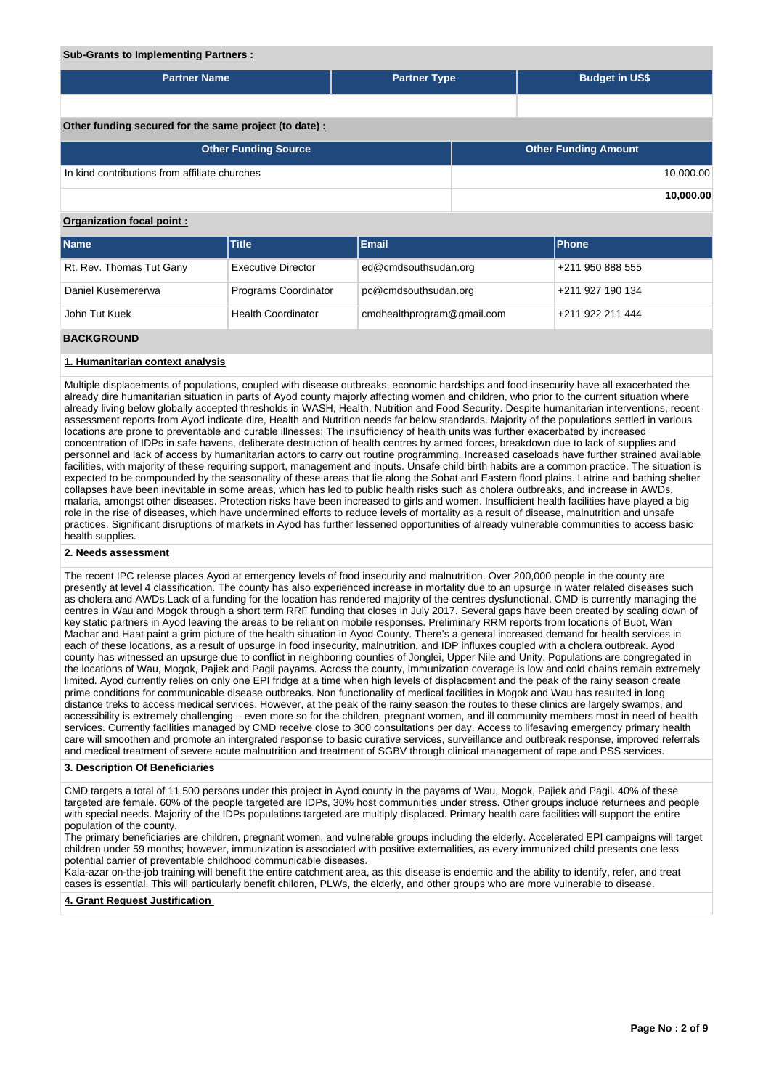## **Sub-Grants to Implementing Partners :**

| <b>Partner Name</b>                                    | <b>Partner Type</b> | <b>Budget in US\$</b>       |
|--------------------------------------------------------|---------------------|-----------------------------|
|                                                        |                     |                             |
|                                                        |                     |                             |
| Other funding secured for the same project (to date) : |                     |                             |
| <b>Other Funding Source</b>                            |                     | <b>Other Funding Amount</b> |
|                                                        |                     |                             |
| In kind contributions from affiliate churches          |                     | 10,000.00                   |

## **Organization focal point :**

| <b>Name</b>              | <b>Title</b>              | <b>Email</b>               | <b>IPhone</b>    |
|--------------------------|---------------------------|----------------------------|------------------|
| Rt. Rev. Thomas Tut Gany | <b>Executive Director</b> | ed@cmdsouthsudan.org       | +211 950 888 555 |
| Daniel Kusemererwa       | Programs Coordinator      | pc@cmdsouthsudan.org       | +211 927 190 134 |
| John Tut Kuek            | <b>Health Coordinator</b> | cmdhealthprogram@gmail.com | +211 922 211 444 |
| <b>DACKCDOUND</b>        |                           |                            |                  |

#### **CKGROUND**

### **1. Humanitarian context analysis**

Multiple displacements of populations, coupled with disease outbreaks, economic hardships and food insecurity have all exacerbated the already dire humanitarian situation in parts of Ayod county majorly affecting women and children, who prior to the current situation where already living below globally accepted thresholds in WASH, Health, Nutrition and Food Security. Despite humanitarian interventions, recent assessment reports from Ayod indicate dire, Health and Nutrition needs far below standards. Majority of the populations settled in various locations are prone to preventable and curable illnesses; The insufficiency of health units was further exacerbated by increased concentration of IDPs in safe havens, deliberate destruction of health centres by armed forces, breakdown due to lack of supplies and personnel and lack of access by humanitarian actors to carry out routine programming. Increased caseloads have further strained available facilities, with majority of these requiring support, management and inputs. Unsafe child birth habits are a common practice. The situation is expected to be compounded by the seasonality of these areas that lie along the Sobat and Eastern flood plains. Latrine and bathing shelter collapses have been inevitable in some areas, which has led to public health risks such as cholera outbreaks, and increase in AWDs, malaria, amongst other diseases. Protection risks have been increased to girls and women. Insufficient health facilities have played a big role in the rise of diseases, which have undermined efforts to reduce levels of mortality as a result of disease, malnutrition and unsafe practices. Significant disruptions of markets in Ayod has further lessened opportunities of already vulnerable communities to access basic health supplies.

### **2. Needs assessment**

The recent IPC release places Ayod at emergency levels of food insecurity and malnutrition. Over 200,000 people in the county are presently at level 4 classification. The county has also experienced increase in mortality due to an upsurge in water related diseases such as cholera and AWDs.Lack of a funding for the location has rendered majority of the centres dysfunctional. CMD is currently managing the centres in Wau and Mogok through a short term RRF funding that closes in July 2017. Several gaps have been created by scaling down of key static partners in Ayod leaving the areas to be reliant on mobile responses. Preliminary RRM reports from locations of Buot, Wan Machar and Haat paint a grim picture of the health situation in Ayod County. There's a general increased demand for health services in each of these locations, as a result of upsurge in food insecurity, malnutrition, and IDP influxes coupled with a cholera outbreak. Ayod county has witnessed an upsurge due to conflict in neighboring counties of Jonglei, Upper Nile and Unity. Populations are congregated in the locations of Wau, Mogok, Pajiek and Pagil payams. Across the county, immunization coverage is low and cold chains remain extremely limited. Ayod currently relies on only one EPI fridge at a time when high levels of displacement and the peak of the rainy season create prime conditions for communicable disease outbreaks. Non functionality of medical facilities in Mogok and Wau has resulted in long distance treks to access medical services. However, at the peak of the rainy season the routes to these clinics are largely swamps, and accessibility is extremely challenging – even more so for the children, pregnant women, and ill community members most in need of health services. Currently facilities managed by CMD receive close to 300 consultations per day. Access to lifesaving emergency primary health care will smoothen and promote an intergrated response to basic curative services, surveillance and outbreak response, improved referrals and medical treatment of severe acute malnutrition and treatment of SGBV through clinical management of rape and PSS services.

#### **3. Description Of Beneficiaries**

CMD targets a total of 11,500 persons under this project in Ayod county in the payams of Wau, Mogok, Pajiek and Pagil. 40% of these targeted are female. 60% of the people targeted are IDPs, 30% host communities under stress. Other groups include returnees and people with special needs. Majority of the IDPs populations targeted are multiply displaced. Primary health care facilities will support the entire population of the county.

The primary beneficiaries are children, pregnant women, and vulnerable groups including the elderly. Accelerated EPI campaigns will target children under 59 months; however, immunization is associated with positive externalities, as every immunized child presents one less potential carrier of preventable childhood communicable diseases.

Kala-azar on-the-job training will benefit the entire catchment area, as this disease is endemic and the ability to identify, refer, and treat cases is essential. This will particularly benefit children, PLWs, the elderly, and other groups who are more vulnerable to disease.

**4. Grant Request Justification**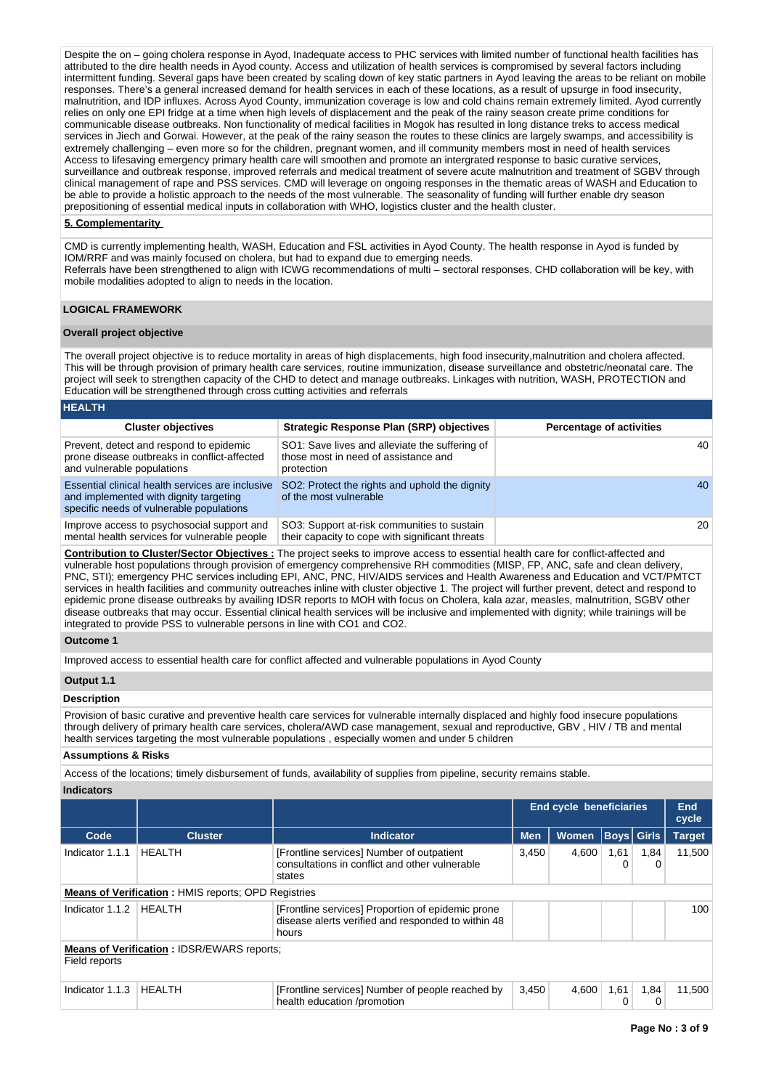Despite the on – going cholera response in Ayod, Inadequate access to PHC services with limited number of functional health facilities has attributed to the dire health needs in Ayod county. Access and utilization of health services is compromised by several factors including intermittent funding. Several gaps have been created by scaling down of key static partners in Ayod leaving the areas to be reliant on mobile responses. There's a general increased demand for health services in each of these locations, as a result of upsurge in food insecurity, malnutrition, and IDP influxes. Across Ayod County, immunization coverage is low and cold chains remain extremely limited. Ayod currently relies on only one EPI fridge at a time when high levels of displacement and the peak of the rainy season create prime conditions for communicable disease outbreaks. Non functionality of medical facilities in Mogok has resulted in long distance treks to access medical services in Jiech and Gorwai. However, at the peak of the rainy season the routes to these clinics are largely swamps, and accessibility is extremely challenging – even more so for the children, pregnant women, and ill community members most in need of health services Access to lifesaving emergency primary health care will smoothen and promote an intergrated response to basic curative services, surveillance and outbreak response, improved referrals and medical treatment of severe acute malnutrition and treatment of SGBV through clinical management of rape and PSS services. CMD will leverage on ongoing responses in the thematic areas of WASH and Education to be able to provide a holistic approach to the needs of the most vulnerable. The seasonality of funding will further enable dry season prepositioning of essential medical inputs in collaboration with WHO, logistics cluster and the health cluster.

### **5. Complementarity**

CMD is currently implementing health, WASH, Education and FSL activities in Ayod County. The health response in Ayod is funded by IOM/RRF and was mainly focused on cholera, but had to expand due to emerging needs. Referrals have been strengthened to align with ICWG recommendations of multi – sectoral responses. CHD collaboration will be key, with mobile modalities adopted to align to needs in the location.

### **LOGICAL FRAMEWORK**

### **Overall project objective**

**HEALTH**

The overall project objective is to reduce mortality in areas of high displacements, high food insecurity,malnutrition and cholera affected. This will be through provision of primary health care services, routine immunization, disease surveillance and obstetric/neonatal care. The project will seek to strengthen capacity of the CHD to detect and manage outbreaks. Linkages with nutrition, WASH, PROTECTION and Education will be strengthened through cross cutting activities and referrals

| INCALIN                                                                                                                                |                                                                                                      |                                 |
|----------------------------------------------------------------------------------------------------------------------------------------|------------------------------------------------------------------------------------------------------|---------------------------------|
| <b>Cluster objectives</b>                                                                                                              | <b>Strategic Response Plan (SRP) objectives</b>                                                      | <b>Percentage of activities</b> |
| Prevent, detect and respond to epidemic<br>prone disease outbreaks in conflict-affected<br>and vulnerable populations                  | SO1: Save lives and alleviate the suffering of<br>those most in need of assistance and<br>protection | 40                              |
| Essential clinical health services are inclusive<br>and implemented with dignity targeting<br>specific needs of vulnerable populations | SO2: Protect the rights and uphold the dignity<br>of the most vulnerable                             | 40                              |
| Improve access to psychosocial support and<br>mental health services for vulnerable people                                             | SO3: Support at-risk communities to sustain<br>their capacity to cope with significant threats       | 20                              |

**Contribution to Cluster/Sector Objectives :** The project seeks to improve access to essential health care for conflict-affected and vulnerable host populations through provision of emergency comprehensive RH commodities (MISP, FP, ANC, safe and clean delivery, PNC, STI); emergency PHC services including EPI, ANC, PNC, HIV/AIDS services and Health Awareness and Education and VCT/PMTCT services in health facilities and community outreaches inline with cluster objective 1. The project will further prevent, detect and respond to epidemic prone disease outbreaks by availing IDSR reports to MOH with focus on Cholera, kala azar, measles, malnutrition, SGBV other disease outbreaks that may occur. Essential clinical health services will be inclusive and implemented with dignity; while trainings will be integrated to provide PSS to vulnerable persons in line with CO1 and CO2.

#### **Outcome 1**

Improved access to essential health care for conflict affected and vulnerable populations in Ayod County

# **Output 1.1**

#### **Description**

Provision of basic curative and preventive health care services for vulnerable internally displaced and highly food insecure populations through delivery of primary health care services, cholera/AWD case management, sexual and reproductive, GBV , HIV / TB and mental health services targeting the most vulnerable populations , especially women and under 5 children

## **Assumptions & Risks**

Access of the locations; timely disbursement of funds, availability of supplies from pipeline, security remains stable.

**Indicators**

|                                                            |                                                   |                                                                                                                  | <b>End cycle beneficiaries</b> |              |           | End<br>cycle |               |  |  |  |
|------------------------------------------------------------|---------------------------------------------------|------------------------------------------------------------------------------------------------------------------|--------------------------------|--------------|-----------|--------------|---------------|--|--|--|
| Code                                                       | <b>Cluster</b>                                    | <b>Indicator</b>                                                                                                 | <b>Men</b>                     | <b>Women</b> |           | Boys   Girls | <b>Target</b> |  |  |  |
| Indicator 1.1.1                                            | <b>HEALTH</b>                                     | [Frontline services] Number of outpatient<br>consultations in conflict and other vulnerable<br>states            | 3.450                          | 4.600        | 1,61<br>0 | 1,84<br>0    | 11.500        |  |  |  |
| <b>Means of Verification:</b> HMIS reports; OPD Registries |                                                   |                                                                                                                  |                                |              |           |              |               |  |  |  |
| Indicator 1.1.2                                            | <b>HEALTH</b>                                     | [Frontline services] Proportion of epidemic prone<br>disease alerts verified and responded to within 48<br>hours |                                |              |           |              | 100           |  |  |  |
| Field reports                                              | <b>Means of Verification: IDSR/EWARS reports;</b> |                                                                                                                  |                                |              |           |              |               |  |  |  |
| Indicator 1.1.3                                            | <b>HEALTH</b>                                     | [Frontline services] Number of people reached by<br>health education /promotion                                  | 3,450                          | 4,600        | 1,61<br>0 | 1,84<br>0    | 11,500        |  |  |  |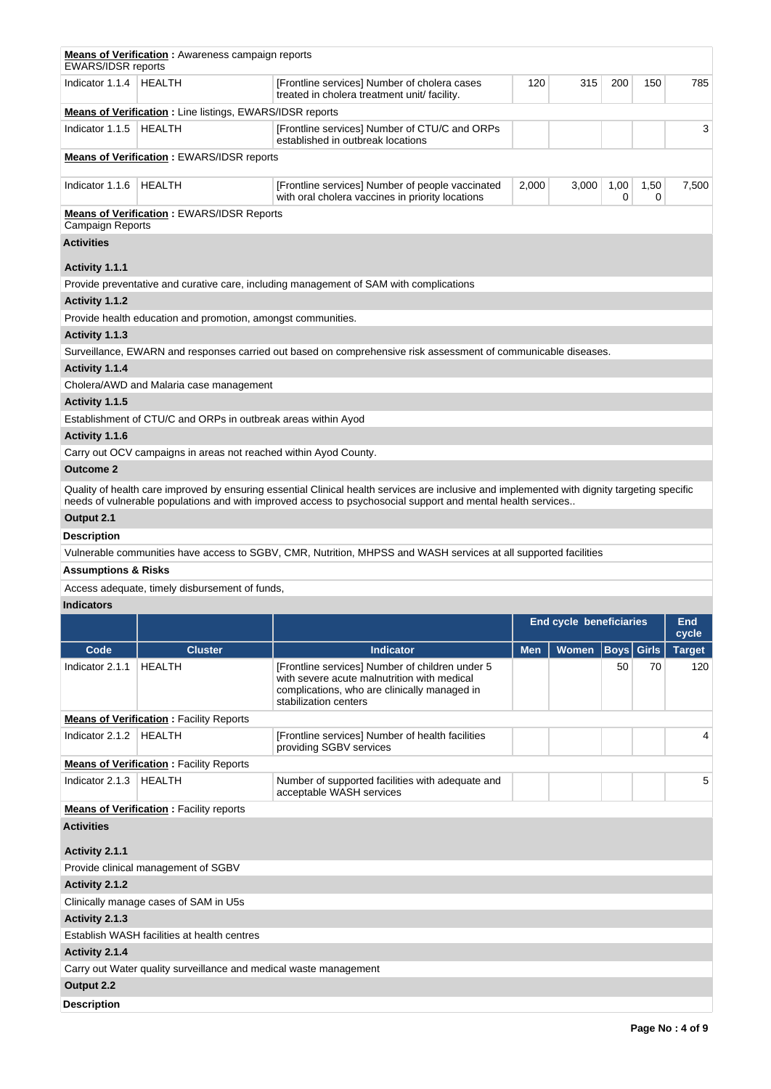| <b>EWARS/IDSR reports</b>                                            | <b>Means of Verification:</b> Awareness campaign reports          |                                                                                                                                                                                                                                                             |            |                                |                   |           |               |  |  |  |
|----------------------------------------------------------------------|-------------------------------------------------------------------|-------------------------------------------------------------------------------------------------------------------------------------------------------------------------------------------------------------------------------------------------------------|------------|--------------------------------|-------------------|-----------|---------------|--|--|--|
| Indicator $1.1.4$                                                    | <b>HEALTH</b>                                                     | [Frontline services] Number of cholera cases<br>treated in cholera treatment unit/ facility.                                                                                                                                                                | 120        | 315                            | 200               | 150       | 785           |  |  |  |
|                                                                      | <b>Means of Verification:</b> Line listings, EWARS/IDSR reports   |                                                                                                                                                                                                                                                             |            |                                |                   |           |               |  |  |  |
| Indicator 1.1.5                                                      | <b>HEALTH</b>                                                     | [Frontline services] Number of CTU/C and ORPs<br>established in outbreak locations                                                                                                                                                                          |            |                                |                   |           | 3             |  |  |  |
| <b>Means of Verification: EWARS/IDSR reports</b>                     |                                                                   |                                                                                                                                                                                                                                                             |            |                                |                   |           |               |  |  |  |
| Indicator 1.1.6                                                      | <b>HEALTH</b>                                                     | [Frontline services] Number of people vaccinated<br>with oral cholera vaccines in priority locations                                                                                                                                                        | 2,000      | 3,000                          | 1,00<br>0         | 1,50<br>0 | 7,500         |  |  |  |
| <b>Means of Verification: EWARS/IDSR Reports</b><br>Campaign Reports |                                                                   |                                                                                                                                                                                                                                                             |            |                                |                   |           |               |  |  |  |
| <b>Activities</b>                                                    |                                                                   |                                                                                                                                                                                                                                                             |            |                                |                   |           |               |  |  |  |
| Activity 1.1.1                                                       |                                                                   |                                                                                                                                                                                                                                                             |            |                                |                   |           |               |  |  |  |
|                                                                      |                                                                   | Provide preventative and curative care, including management of SAM with complications                                                                                                                                                                      |            |                                |                   |           |               |  |  |  |
| Activity 1.1.2                                                       |                                                                   |                                                                                                                                                                                                                                                             |            |                                |                   |           |               |  |  |  |
|                                                                      | Provide health education and promotion, amongst communities.      |                                                                                                                                                                                                                                                             |            |                                |                   |           |               |  |  |  |
| Activity 1.1.3                                                       |                                                                   |                                                                                                                                                                                                                                                             |            |                                |                   |           |               |  |  |  |
|                                                                      |                                                                   | Surveillance, EWARN and responses carried out based on comprehensive risk assessment of communicable diseases.                                                                                                                                              |            |                                |                   |           |               |  |  |  |
| Activity 1.1.4                                                       |                                                                   |                                                                                                                                                                                                                                                             |            |                                |                   |           |               |  |  |  |
|                                                                      | Cholera/AWD and Malaria case management                           |                                                                                                                                                                                                                                                             |            |                                |                   |           |               |  |  |  |
| Activity 1.1.5                                                       |                                                                   |                                                                                                                                                                                                                                                             |            |                                |                   |           |               |  |  |  |
|                                                                      | Establishment of CTU/C and ORPs in outbreak areas within Ayod     |                                                                                                                                                                                                                                                             |            |                                |                   |           |               |  |  |  |
| Activity 1.1.6                                                       |                                                                   |                                                                                                                                                                                                                                                             |            |                                |                   |           |               |  |  |  |
|                                                                      | Carry out OCV campaigns in areas not reached within Ayod County.  |                                                                                                                                                                                                                                                             |            |                                |                   |           |               |  |  |  |
| <b>Outcome 2</b>                                                     |                                                                   |                                                                                                                                                                                                                                                             |            |                                |                   |           |               |  |  |  |
|                                                                      |                                                                   | Quality of health care improved by ensuring essential Clinical health services are inclusive and implemented with dignity targeting specific<br>needs of vulnerable populations and with improved access to psychosocial support and mental health services |            |                                |                   |           |               |  |  |  |
| Output 2.1                                                           |                                                                   |                                                                                                                                                                                                                                                             |            |                                |                   |           |               |  |  |  |
| Description                                                          |                                                                   |                                                                                                                                                                                                                                                             |            |                                |                   |           |               |  |  |  |
|                                                                      |                                                                   | Vulnerable communities have access to SGBV, CMR, Nutrition, MHPSS and WASH services at all supported facilities                                                                                                                                             |            |                                |                   |           |               |  |  |  |
| <b>Assumptions &amp; Risks</b>                                       |                                                                   |                                                                                                                                                                                                                                                             |            |                                |                   |           |               |  |  |  |
|                                                                      | Access adequate, timely disbursement of funds,                    |                                                                                                                                                                                                                                                             |            |                                |                   |           |               |  |  |  |
| <b>Indicators</b>                                                    |                                                                   |                                                                                                                                                                                                                                                             |            |                                |                   |           |               |  |  |  |
|                                                                      |                                                                   |                                                                                                                                                                                                                                                             |            | <b>End cycle beneficiaries</b> |                   |           | End           |  |  |  |
|                                                                      |                                                                   |                                                                                                                                                                                                                                                             |            |                                |                   |           | cycle         |  |  |  |
| Code                                                                 | <b>Cluster</b>                                                    | <b>Indicator</b>                                                                                                                                                                                                                                            | <b>Men</b> | Women                          | <b>Boys</b> Girls |           | <b>Target</b> |  |  |  |
| Indicator 2.1.1                                                      | <b>HEALTH</b>                                                     | [Frontline services] Number of children under 5<br>with severe acute malnutrition with medical<br>complications, who are clinically managed in<br>stabilization centers                                                                                     |            |                                | 50                | 70        | 120           |  |  |  |
|                                                                      | <b>Means of Verification: Facility Reports</b>                    |                                                                                                                                                                                                                                                             |            |                                |                   |           |               |  |  |  |
| Indicator 2.1.2                                                      | <b>HEALTH</b>                                                     | [Frontline services] Number of health facilities<br>providing SGBV services                                                                                                                                                                                 |            |                                |                   |           | 4             |  |  |  |
|                                                                      | <b>Means of Verification: Facility Reports</b>                    |                                                                                                                                                                                                                                                             |            |                                |                   |           |               |  |  |  |
| Indicator 2.1.3                                                      | <b>HEALTH</b>                                                     | Number of supported facilities with adequate and<br>acceptable WASH services                                                                                                                                                                                |            |                                |                   |           | 5             |  |  |  |
|                                                                      | <b>Means of Verification:</b> Facility reports                    |                                                                                                                                                                                                                                                             |            |                                |                   |           |               |  |  |  |
| <b>Activities</b>                                                    |                                                                   |                                                                                                                                                                                                                                                             |            |                                |                   |           |               |  |  |  |
| Activity 2.1.1                                                       |                                                                   |                                                                                                                                                                                                                                                             |            |                                |                   |           |               |  |  |  |
| Provide clinical management of SGBV                                  |                                                                   |                                                                                                                                                                                                                                                             |            |                                |                   |           |               |  |  |  |
| Activity 2.1.2                                                       |                                                                   |                                                                                                                                                                                                                                                             |            |                                |                   |           |               |  |  |  |
|                                                                      | Clinically manage cases of SAM in U5s                             |                                                                                                                                                                                                                                                             |            |                                |                   |           |               |  |  |  |
| Activity 2.1.3                                                       |                                                                   |                                                                                                                                                                                                                                                             |            |                                |                   |           |               |  |  |  |
|                                                                      | Establish WASH facilities at health centres                       |                                                                                                                                                                                                                                                             |            |                                |                   |           |               |  |  |  |
| Activity 2.1.4                                                       |                                                                   |                                                                                                                                                                                                                                                             |            |                                |                   |           |               |  |  |  |
|                                                                      | Carry out Water quality surveillance and medical waste management |                                                                                                                                                                                                                                                             |            |                                |                   |           |               |  |  |  |
| Output 2.2                                                           |                                                                   |                                                                                                                                                                                                                                                             |            |                                |                   |           |               |  |  |  |
| <b>Description</b>                                                   |                                                                   |                                                                                                                                                                                                                                                             |            |                                |                   |           |               |  |  |  |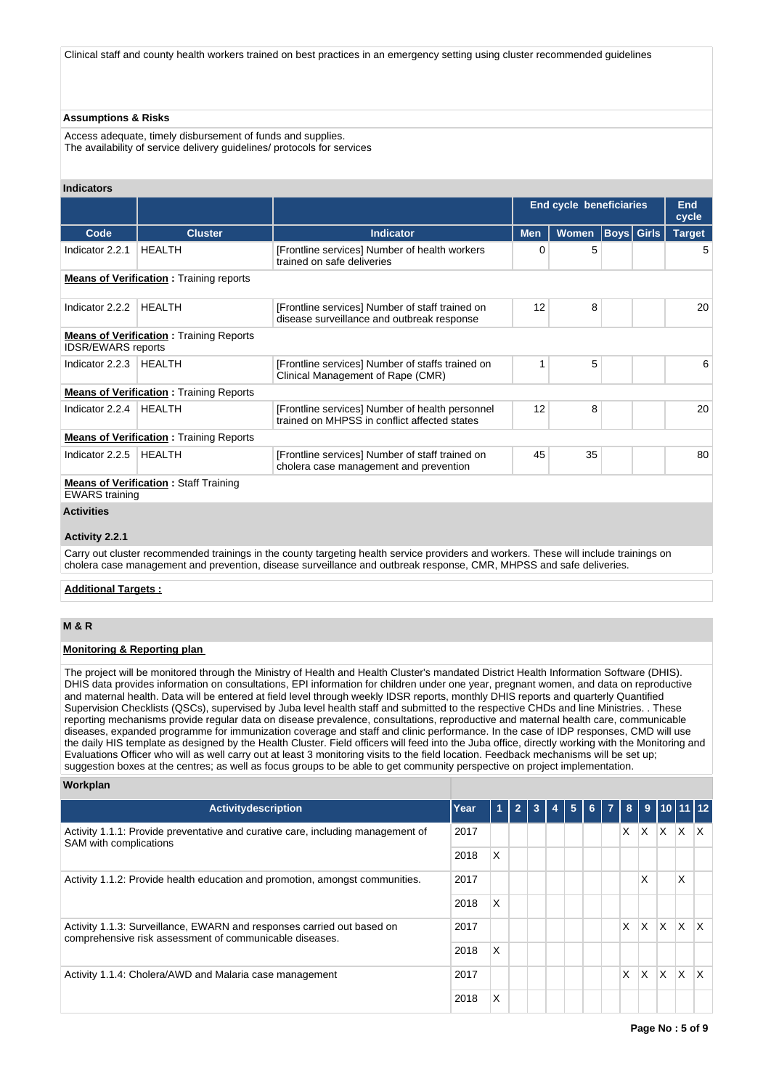Clinical staff and county health workers trained on best practices in an emergency setting using cluster recommended guidelines

## **Assumptions & Risks**

Access adequate, timely disbursement of funds and supplies. The availability of service delivery guidelines/ protocols for services

### **Indicators**

|                           |                                                |                                                                                                                                       | <b>End cycle beneficiaries</b> |              |  |                   | <b>End</b><br>cycle |  |
|---------------------------|------------------------------------------------|---------------------------------------------------------------------------------------------------------------------------------------|--------------------------------|--------------|--|-------------------|---------------------|--|
| Code                      | <b>Cluster</b>                                 | <b>Indicator</b>                                                                                                                      | <b>Men</b>                     | <b>Women</b> |  | <b>Boys Girls</b> | <b>Target</b>       |  |
| Indicator 2.2.1           | <b>HEALTH</b>                                  | [Frontline services] Number of health workers<br>trained on safe deliveries                                                           | 0                              | 5            |  |                   | 5                   |  |
|                           | <b>Means of Verification:</b> Training reports |                                                                                                                                       |                                |              |  |                   |                     |  |
| Indicator 2.2.2           | <b>HEALTH</b>                                  | [Frontline services] Number of staff trained on<br>disease surveillance and outbreak response                                         | 12                             | 8            |  |                   | 20                  |  |
| <b>IDSR/EWARS</b> reports | <b>Means of Verification:</b> Training Reports |                                                                                                                                       |                                |              |  |                   |                     |  |
| Indicator 2.2.3           | <b>HEALTH</b>                                  | [Frontline services] Number of staffs trained on<br>Clinical Management of Rape (CMR)                                                 | 1                              | 5            |  |                   | 6                   |  |
|                           | <b>Means of Verification:</b> Training Reports |                                                                                                                                       |                                |              |  |                   |                     |  |
| Indicator 2.2.4           | HEALTH                                         | [Frontline services] Number of health personnel<br>trained on MHPSS in conflict affected states                                       | 12                             | 8            |  |                   | 20                  |  |
|                           | <b>Means of Verification: Training Reports</b> |                                                                                                                                       |                                |              |  |                   |                     |  |
| Indicator 2.2.5           | HEALTH                                         | [Frontline services] Number of staff trained on<br>cholera case management and prevention                                             | 45                             | 35           |  |                   | 80                  |  |
| <b>EWARS</b> training     | <b>Means of Verification: Staff Training</b>   |                                                                                                                                       |                                |              |  |                   |                     |  |
| <b>Activities</b>         |                                                |                                                                                                                                       |                                |              |  |                   |                     |  |
| Activity 2.2.1            |                                                |                                                                                                                                       |                                |              |  |                   |                     |  |
|                           |                                                | Corry out olyator recommended trainings in the county teracting boolth convice providers and werkers. These will include trainings on |                                |              |  |                   |                     |  |

y out cluster recommended trainings in the county targeting health service providers and workers. These will include trainings on cholera case management and prevention, disease surveillance and outbreak response, CMR, MHPSS and safe deliveries.

# **Additional Targets :**

# **M & R**

# **Monitoring & Reporting plan**

The project will be monitored through the Ministry of Health and Health Cluster's mandated District Health Information Software (DHIS). DHIS data provides information on consultations, EPI information for children under one year, pregnant women, and data on reproductive and maternal health. Data will be entered at field level through weekly IDSR reports, monthly DHIS reports and quarterly Quantified Supervision Checklists (QSCs), supervised by Juba level health staff and submitted to the respective CHDs and line Ministries. . These reporting mechanisms provide regular data on disease prevalence, consultations, reproductive and maternal health care, communicable diseases, expanded programme for immunization coverage and staff and clinic performance. In the case of IDP responses, CMD will use the daily HIS template as designed by the Health Cluster. Field officers will feed into the Juba office, directly working with the Monitoring and Evaluations Officer who will as well carry out at least 3 monitoring visits to the field location. Feedback mechanisms will be set up; suggestion boxes at the centres; as well as focus groups to be able to get community perspective on project implementation.

### **Workplan**

| <b>Activitydescription</b>                                                                                                        | Year | 1 | 3 | 5 | 6 | 8  |    |          | 9   10   11   12 |              |
|-----------------------------------------------------------------------------------------------------------------------------------|------|---|---|---|---|----|----|----------|------------------|--------------|
| Activity 1.1.1: Provide preventative and curative care, including management of<br>SAM with complications                         | 2017 |   |   |   |   | X. | X. | X.       | X                | X.           |
|                                                                                                                                   | 2018 | X |   |   |   |    |    |          |                  |              |
| Activity 1.1.2: Provide health education and promotion, amongst communities.                                                      | 2017 |   |   |   |   |    | X  |          | X                |              |
|                                                                                                                                   | 2018 | X |   |   |   |    |    |          |                  |              |
| Activity 1.1.3: Surveillance, EWARN and responses carried out based on<br>comprehensive risk assessment of communicable diseases. | 2017 |   |   |   |   | X  | X  | X        | X                | X.           |
|                                                                                                                                   | 2018 | X |   |   |   |    |    |          |                  |              |
| Activity 1.1.4: Cholera/AWD and Malaria case management                                                                           | 2017 |   |   |   |   | X  | X  | <b>X</b> | $\times$         | $\mathsf{X}$ |
|                                                                                                                                   | 2018 | X |   |   |   |    |    |          |                  |              |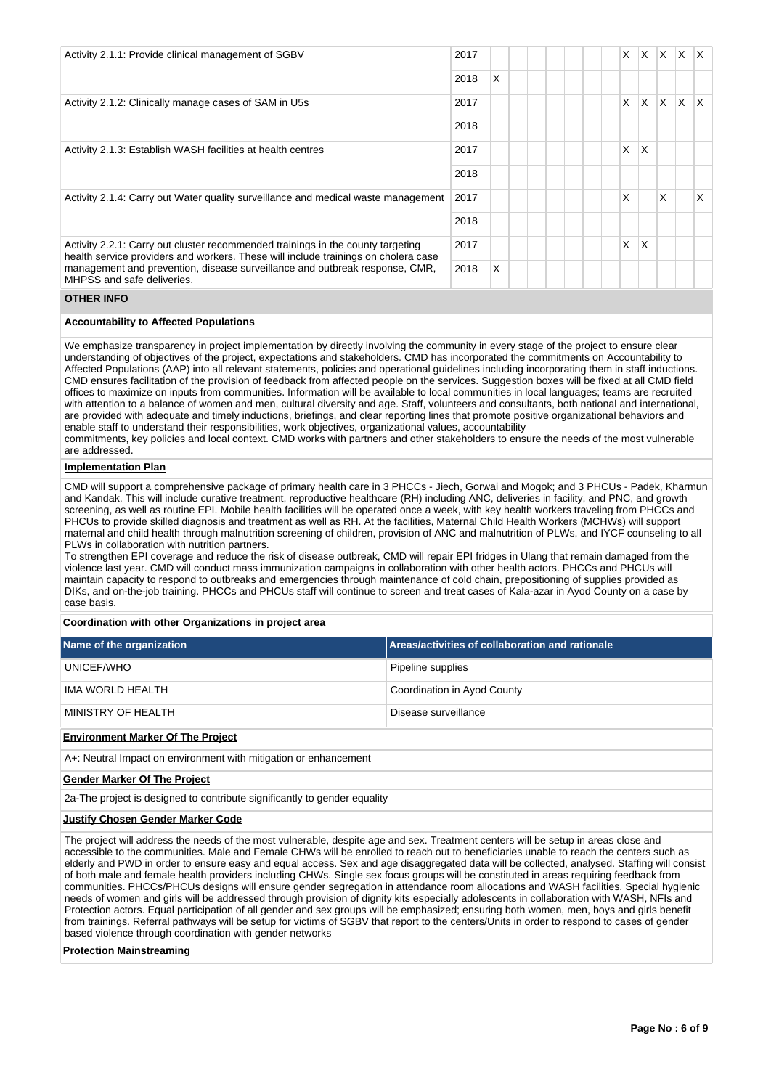| Activity 2.1.1: Provide clinical management of SGBV                                                                                                                   |      |              |  |  | X. | X.              | $\mathsf{X}$ | ΙX. | $\mathsf{X}$ |
|-----------------------------------------------------------------------------------------------------------------------------------------------------------------------|------|--------------|--|--|----|-----------------|--------------|-----|--------------|
|                                                                                                                                                                       |      | $\mathsf{x}$ |  |  |    |                 |              |     |              |
| Activity 2.1.2: Clinically manage cases of SAM in U5s                                                                                                                 | 2017 |              |  |  | X  | X.              | X.           | X.  | $\mathsf{X}$ |
|                                                                                                                                                                       |      |              |  |  |    |                 |              |     |              |
| Activity 2.1.3: Establish WASH facilities at health centres                                                                                                           | 2017 |              |  |  | X  | X               |              |     |              |
|                                                                                                                                                                       | 2018 |              |  |  |    |                 |              |     |              |
| Activity 2.1.4: Carry out Water quality surveillance and medical waste management                                                                                     | 2017 |              |  |  | X  |                 | X            |     | X            |
|                                                                                                                                                                       | 2018 |              |  |  |    |                 |              |     |              |
| Activity 2.2.1: Carry out cluster recommended trainings in the county targeting<br>health service providers and workers. These will include trainings on cholera case |      |              |  |  | X  | $\mathsf{\chi}$ |              |     |              |
| management and prevention, disease surveillance and outbreak response, CMR,<br>MHPSS and safe deliveries.                                                             | 2018 | X            |  |  |    |                 |              |     |              |

### **OTHER INFO**

### **Accountability to Affected Populations**

We emphasize transparency in project implementation by directly involving the community in every stage of the project to ensure clear understanding of objectives of the project, expectations and stakeholders. CMD has incorporated the commitments on Accountability to Affected Populations (AAP) into all relevant statements, policies and operational guidelines including incorporating them in staff inductions. CMD ensures facilitation of the provision of feedback from affected people on the services. Suggestion boxes will be fixed at all CMD field offices to maximize on inputs from communities. Information will be available to local communities in local languages; teams are recruited with attention to a balance of women and men, cultural diversity and age. Staff, volunteers and consultants, both national and international, are provided with adequate and timely inductions, briefings, and clear reporting lines that promote positive organizational behaviors and enable staff to understand their responsibilities, work objectives, organizational values, accountability

commitments, key policies and local context. CMD works with partners and other stakeholders to ensure the needs of the most vulnerable are addressed.

### **Implementation Plan**

CMD will support a comprehensive package of primary health care in 3 PHCCs - Jiech, Gorwai and Mogok; and 3 PHCUs - Padek, Kharmun and Kandak. This will include curative treatment, reproductive healthcare (RH) including ANC, deliveries in facility, and PNC, and growth screening, as well as routine EPI. Mobile health facilities will be operated once a week, with key health workers traveling from PHCCs and PHCUs to provide skilled diagnosis and treatment as well as RH. At the facilities, Maternal Child Health Workers (MCHWs) will support maternal and child health through malnutrition screening of children, provision of ANC and malnutrition of PLWs, and IYCF counseling to all PLWs in collaboration with nutrition partners.

To strengthen EPI coverage and reduce the risk of disease outbreak, CMD will repair EPI fridges in Ulang that remain damaged from the violence last year. CMD will conduct mass immunization campaigns in collaboration with other health actors. PHCCs and PHCUs will maintain capacity to respond to outbreaks and emergencies through maintenance of cold chain, prepositioning of supplies provided as DIKs, and on-the-job training. PHCCs and PHCUs staff will continue to screen and treat cases of Kala-azar in Ayod County on a case by case basis.

# **Coordination with other Organizations in project area**

| Name of the organization                 | <b>Areas/activities of collaboration and rationale</b> |
|------------------------------------------|--------------------------------------------------------|
| UNICEF/WHO                               | Pipeline supplies                                      |
| IMA WORLD HEALTH                         | Coordination in Ayod County                            |
| MINISTRY OF HEALTH                       | Disease surveillance                                   |
| <b>Environment Marker Of The Project</b> |                                                        |

A+: Neutral Impact on environment with mitigation or enhancement

#### **Gender Marker Of The Project**

2a-The project is designed to contribute significantly to gender equality

# **Justify Chosen Gender Marker Code**

The project will address the needs of the most vulnerable, despite age and sex. Treatment centers will be setup in areas close and accessible to the communities. Male and Female CHWs will be enrolled to reach out to beneficiaries unable to reach the centers such as elderly and PWD in order to ensure easy and equal access. Sex and age disaggregated data will be collected, analysed. Staffing will consist of both male and female health providers including CHWs. Single sex focus groups will be constituted in areas requiring feedback from communities. PHCCs/PHCUs designs will ensure gender segregation in attendance room allocations and WASH facilities. Special hygienic needs of women and girls will be addressed through provision of dignity kits especially adolescents in collaboration with WASH, NFIs and Protection actors. Equal participation of all gender and sex groups will be emphasized; ensuring both women, men, boys and girls benefit from trainings. Referral pathways will be setup for victims of SGBV that report to the centers/Units in order to respond to cases of gender based violence through coordination with gender networks

#### **Protection Mainstreaming**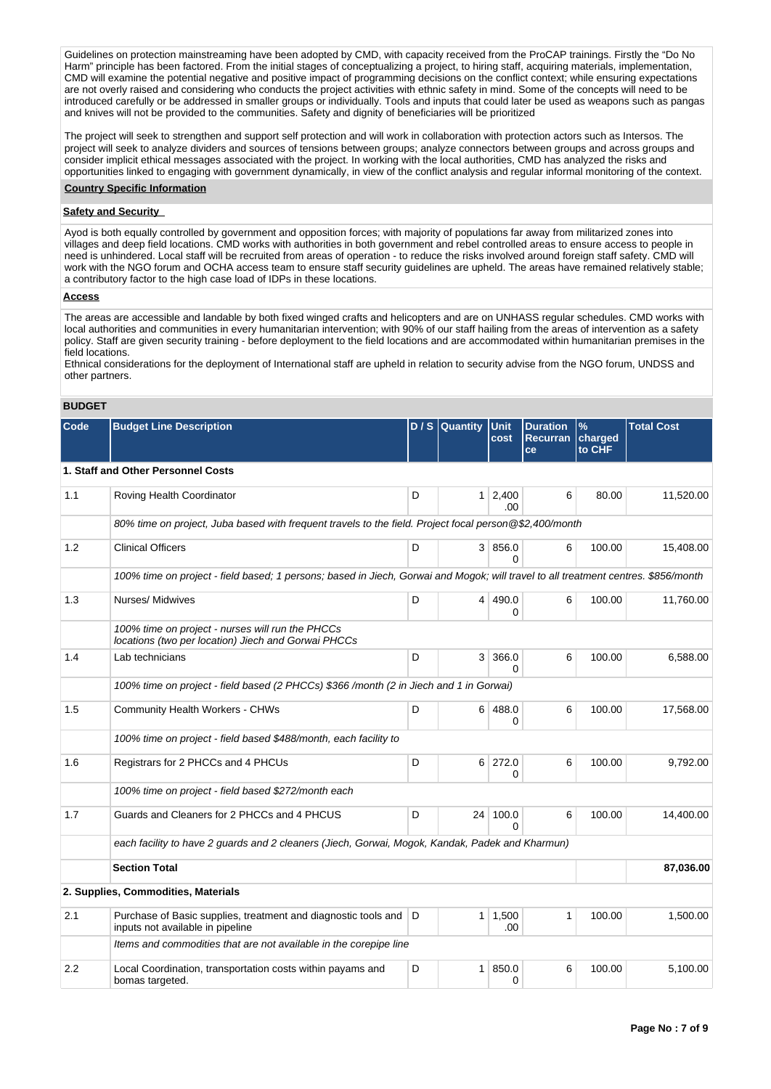Guidelines on protection mainstreaming have been adopted by CMD, with capacity received from the ProCAP trainings. Firstly the "Do No Harm" principle has been factored. From the initial stages of conceptualizing a project, to hiring staff, acquiring materials, implementation, CMD will examine the potential negative and positive impact of programming decisions on the conflict context; while ensuring expectations are not overly raised and considering who conducts the project activities with ethnic safety in mind. Some of the concepts will need to be introduced carefully or be addressed in smaller groups or individually. Tools and inputs that could later be used as weapons such as pangas and knives will not be provided to the communities. Safety and dignity of beneficiaries will be prioritized

The project will seek to strengthen and support self protection and will work in collaboration with protection actors such as Intersos. The project will seek to analyze dividers and sources of tensions between groups; analyze connectors between groups and across groups and consider implicit ethical messages associated with the project. In working with the local authorities, CMD has analyzed the risks and opportunities linked to engaging with government dynamically, in view of the conflict analysis and regular informal monitoring of the context.

# **Country Specific Information**

## **Safety and Security**

Ayod is both equally controlled by government and opposition forces; with majority of populations far away from militarized zones into villages and deep field locations. CMD works with authorities in both government and rebel controlled areas to ensure access to people in need is unhindered. Local staff will be recruited from areas of operation - to reduce the risks involved around foreign staff safety. CMD will work with the NGO forum and OCHA access team to ensure staff security guidelines are upheld. The areas have remained relatively stable; a contributory factor to the high case load of IDPs in these locations.

#### **Access**

The areas are accessible and landable by both fixed winged crafts and helicopters and are on UNHASS regular schedules. CMD works with local authorities and communities in every humanitarian intervention; with 90% of our staff hailing from the areas of intervention as a safety policy. Staff are given security training - before deployment to the field locations and are accommodated within humanitarian premises in the field locations.

Ethnical considerations for the deployment of International staff are upheld in relation to security advise from the NGO forum, UNDSS and other partners.

# **BUDGET**

| Code                                                                                  | <b>Budget Line Description</b>                                                                                                     |   | D / S Quantity | <b>Unit</b><br>cost           | <b>Duration</b><br><b>Recurran</b><br>ce | $\%$<br>charged<br>to CHF | <b>Total Cost</b> |  |  |
|---------------------------------------------------------------------------------------|------------------------------------------------------------------------------------------------------------------------------------|---|----------------|-------------------------------|------------------------------------------|---------------------------|-------------------|--|--|
|                                                                                       | 1. Staff and Other Personnel Costs                                                                                                 |   |                |                               |                                          |                           |                   |  |  |
| 1.1                                                                                   | Roving Health Coordinator                                                                                                          | D |                | $1 \overline{)2,400}$<br>.00. | 6                                        | 80.00                     | 11,520.00         |  |  |
|                                                                                       | 80% time on project, Juba based with frequent travels to the field. Project focal person @\$2,400/month                            |   |                |                               |                                          |                           |                   |  |  |
| 1.2                                                                                   | <b>Clinical Officers</b>                                                                                                           | D |                | 3 856.0<br><sup>0</sup>       | 6                                        | 100.00                    | 15,408.00         |  |  |
|                                                                                       | 100% time on project - field based; 1 persons; based in Jiech, Gorwai and Mogok; will travel to all treatment centres. \$856/month |   |                |                               |                                          |                           |                   |  |  |
| 1.3                                                                                   | Nurses/ Midwives                                                                                                                   | D | 4              | 490.0<br>0                    | 6                                        | 100.00                    | 11,760.00         |  |  |
|                                                                                       | 100% time on project - nurses will run the PHCCs<br>locations (two per location) Jiech and Gorwai PHCCs                            |   |                |                               |                                          |                           |                   |  |  |
| 1.4                                                                                   | Lab technicians                                                                                                                    | D |                | 3 366.0<br>$\Omega$           | 6                                        | 100.00                    | 6,588.00          |  |  |
| 100% time on project - field based (2 PHCCs) \$366/month (2 in Jiech and 1 in Gorwai) |                                                                                                                                    |   |                |                               |                                          |                           |                   |  |  |
| 1.5                                                                                   | <b>Community Health Workers - CHWs</b>                                                                                             | D |                | 6 488.0<br>0                  | 6                                        | 100.00                    | 17,568.00         |  |  |
|                                                                                       | 100% time on project - field based \$488/month, each facility to                                                                   |   |                |                               |                                          |                           |                   |  |  |
| 1.6                                                                                   | Registrars for 2 PHCCs and 4 PHCUs                                                                                                 | D |                | 6 272.0<br>0                  | 6                                        | 100.00                    | 9,792.00          |  |  |
|                                                                                       | 100% time on project - field based \$272/month each                                                                                |   |                |                               |                                          |                           |                   |  |  |
| 1.7                                                                                   | Guards and Cleaners for 2 PHCCs and 4 PHCUS                                                                                        | D | 24             | 100.0<br>$\Omega$             | 6                                        | 100.00                    | 14,400.00         |  |  |
|                                                                                       | each facility to have 2 guards and 2 cleaners (Jiech, Gorwai, Mogok, Kandak, Padek and Kharmun)                                    |   |                |                               |                                          |                           |                   |  |  |
|                                                                                       | <b>Section Total</b>                                                                                                               |   |                |                               |                                          |                           | 87,036.00         |  |  |
|                                                                                       | 2. Supplies, Commodities, Materials                                                                                                |   |                |                               |                                          |                           |                   |  |  |
| 2.1                                                                                   | Purchase of Basic supplies, treatment and diagnostic tools and<br>inputs not available in pipeline                                 | D |                | $1 \mid 1,500$<br>.00         | 1                                        | 100.00                    | 1,500.00          |  |  |
|                                                                                       | Items and commodities that are not available in the corepipe line                                                                  |   |                |                               |                                          |                           |                   |  |  |
| 2.2                                                                                   | Local Coordination, transportation costs within payams and<br>bomas targeted.                                                      | D | 1 <sup>1</sup> | 850.0<br>0                    | 6                                        | 100.00                    | 5,100.00          |  |  |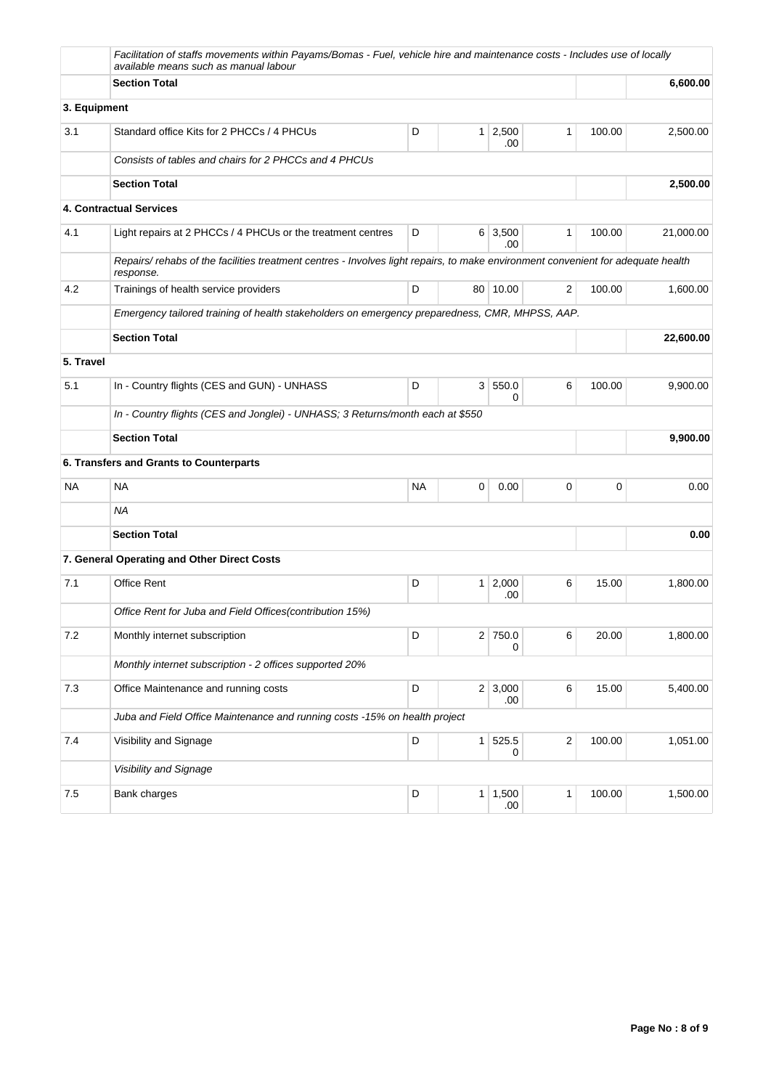|              | Facilitation of staffs movements within Payams/Bomas - Fuel, vehicle hire and maintenance costs - Includes use of locally<br>available means such as manual labour |             |                |                        |                         |        |           |
|--------------|--------------------------------------------------------------------------------------------------------------------------------------------------------------------|-------------|----------------|------------------------|-------------------------|--------|-----------|
|              | <b>Section Total</b>                                                                                                                                               |             | 6,600.00       |                        |                         |        |           |
| 3. Equipment |                                                                                                                                                                    |             |                |                        |                         |        |           |
| 3.1          | Standard office Kits for 2 PHCCs / 4 PHCUs                                                                                                                         | D           | 1 <sup>1</sup> | 2,500<br>.00           | $\mathbf{1}$            | 100.00 | 2,500.00  |
|              | Consists of tables and chairs for 2 PHCCs and 4 PHCUs                                                                                                              |             |                |                        |                         |        |           |
|              | <b>Section Total</b>                                                                                                                                               |             | 2,500.00       |                        |                         |        |           |
|              | 4. Contractual Services                                                                                                                                            |             |                |                        |                         |        |           |
| 4.1          | Light repairs at 2 PHCCs / 4 PHCUs or the treatment centres                                                                                                        | D           |                | $6 \mid 3,500$<br>.00. | 1                       | 100.00 | 21,000.00 |
|              | Repairs/rehabs of the facilities treatment centres - Involves light repairs, to make environment convenient for adequate health<br>response.                       |             |                |                        |                         |        |           |
| 4.2          | Trainings of health service providers                                                                                                                              | D           |                | 80 10.00               | 2                       | 100.00 | 1,600.00  |
|              | Emergency tailored training of health stakeholders on emergency preparedness, CMR, MHPSS, AAP.                                                                     |             |                |                        |                         |        |           |
|              | <b>Section Total</b>                                                                                                                                               |             | 22,600.00      |                        |                         |        |           |
| 5. Travel    |                                                                                                                                                                    |             |                |                        |                         |        |           |
| 5.1          | In - Country flights (CES and GUN) - UNHASS                                                                                                                        | D           | 3 <sup>1</sup> | 550.0<br>0             | 6                       | 100.00 | 9,900.00  |
|              | In - Country flights (CES and Jonglei) - UNHASS; 3 Returns/month each at \$550                                                                                     |             |                |                        |                         |        |           |
|              | <b>Section Total</b>                                                                                                                                               |             | 9,900.00       |                        |                         |        |           |
|              | 6. Transfers and Grants to Counterparts                                                                                                                            |             |                |                        |                         |        |           |
| <b>NA</b>    | <b>NA</b>                                                                                                                                                          | <b>NA</b>   | 0              | 0.00                   | 0                       | 0      | 0.00      |
|              | <b>NA</b>                                                                                                                                                          |             |                |                        |                         |        |           |
|              | <b>Section Total</b>                                                                                                                                               |             |                |                        |                         |        | 0.00      |
|              | 7. General Operating and Other Direct Costs                                                                                                                        |             |                |                        |                         |        |           |
| 7.1          | <b>Office Rent</b>                                                                                                                                                 | D           |                | $1 \mid 2,000$<br>.00  | 6                       | 15.00  | 1,800.00  |
|              | Office Rent for Juba and Field Offices(contribution 15%)                                                                                                           |             |                |                        |                         |        |           |
| 7.2          | Monthly internet subscription                                                                                                                                      | D           | 2              | 750.0<br>0             | 6                       | 20.00  | 1,800.00  |
|              | Monthly internet subscription - 2 offices supported 20%                                                                                                            |             |                |                        |                         |        |           |
| 7.3          | Office Maintenance and running costs                                                                                                                               | D           |                | $2 \mid 3,000$<br>.00  | 6                       | 15.00  | 5,400.00  |
|              | Juba and Field Office Maintenance and running costs -15% on health project                                                                                         |             |                |                        |                         |        |           |
| 7.4          | Visibility and Signage                                                                                                                                             | $\mathsf D$ | 1              | 525.5<br>0             | $\overline{\mathbf{c}}$ | 100.00 | 1,051.00  |
|              | Visibility and Signage                                                                                                                                             |             |                |                        |                         |        |           |
| 7.5          |                                                                                                                                                                    |             | $1 \mid 1,500$ |                        |                         |        | 1,500.00  |